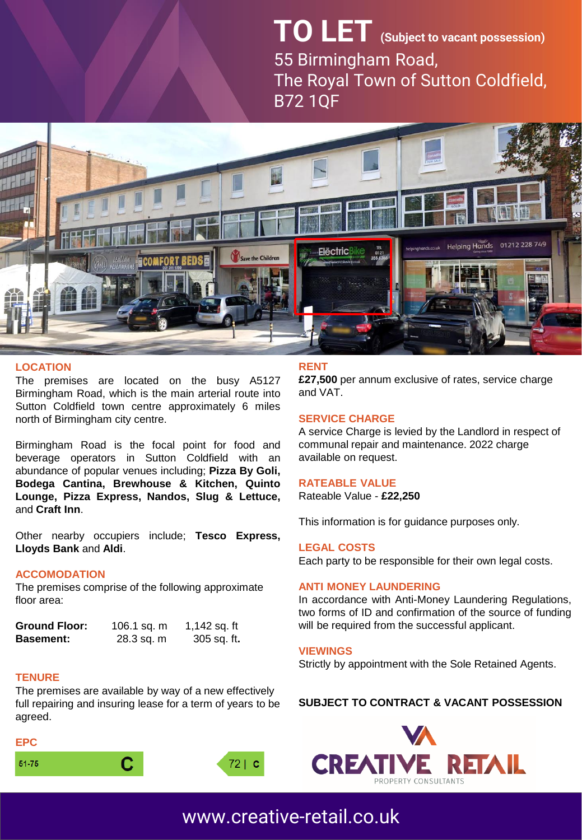## **TO LET (Subject to vacant possession)** 55 Birmingham Road, The Royal Town of Sutton Coldfield, B72 1QF



#### **LOCATION**

The premises are located on the busy A5127 Birmingham Road, which is the main arterial route into Sutton Coldfield town centre approximately 6 miles north of Birmingham city centre.

Birmingham Road is the focal point for food and beverage operators in Sutton Coldfield with an abundance of popular venues including; **Pizza By Goli, Bodega Cantina, Brewhouse & Kitchen, Quinto Lounge, Pizza Express, Nandos, Slug & Lettuce,** and **Craft Inn**.

Other nearby occupiers include; **Tesco Express, Lloyds Bank** and **Aldi**.

#### **ACCOMODATION**

The premises comprise of the following approximate floor area:

| <b>Ground Floor:</b> | 106.1 sq. m | 1,142 sq. ft        |
|----------------------|-------------|---------------------|
| <b>Basement:</b>     | 28.3 sq. m  | 305 sq. ft <b>.</b> |

#### **TENURE**

The premises are available by way of a new effectively full repairing and insuring lease for a term of years to be agreed.

#### **EPC**





#### **RENT**

**£27,500** per annum exclusive of rates, service charge and VAT.

#### **SERVICE CHARGE**

A service Charge is levied by the Landlord in respect of communal repair and maintenance. 2022 charge available on request.

#### **RATEABLE VALUE**

Rateable Value - **£22,250**

This information is for guidance purposes only.

#### **LEGAL COSTS**

Each party to be responsible for their own legal costs.

#### **ANTI MONEY LAUNDERING**

In accordance with Anti-Money Laundering Regulations, two forms of ID and confirmation of the source of funding will be required from the successful applicant.

#### **VIEWINGS**

Strictly by appointment with the Sole Retained Agents.

#### **SUBJECT TO CONTRACT & VACANT POSSESSION**



## [www.creative-retail.co.uk](http://www.creative-retail.co.uk/)